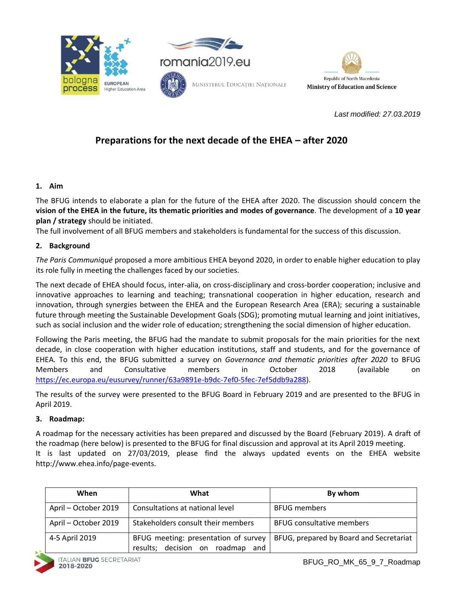



*Last modified: 27.03.2019*

# **Preparations for the next decade of the EHEA – after 2020**

## **1. Aim**

The BFUG intends to elaborate a plan for the future of the EHEA after 2020. The discussion should concern the **vision of the EHEA in the future, its thematic priorities and modes of governance**. The development of a **10 year plan / strategy** should be initiated.

The full involvement of all BFUG members and stakeholders is fundamental for the success of this discussion.

# **2. Background**

*The Paris Communiqué* proposed a more ambitious EHEA beyond 2020, in order to enable higher education to play its role fully in meeting the challenges faced by our societies.

The next decade of EHEA should focus, inter-alia, on cross-disciplinary and cross-border cooperation; inclusive and innovative approaches to learning and teaching; transnational cooperation in higher education, research and innovation, through synergies between the EHEA and the European Research Area (ERA); securing a sustainable future through meeting the Sustainable Development Goals (SDG); promoting mutual learning and joint initiatives, such as social inclusion and the wider role of education; strengthening the social dimension of higher education.

Following the Paris meeting, the BFUG had the mandate to submit proposals for the main priorities for the next decade, in close cooperation with higher education institutions, staff and students, and for the governance of EHEA. To this end, the BFUG submitted a survey on *Governance and thematic priorities after 2020* to BFUG Members and Consultative members in October 2018 (available on [https://ec.europa.eu/eusurvey/runner/63a9891e-b9dc-7ef0-5fec-7ef5ddb9a288\)](https://ec.europa.eu/eusurvey/runner/63a9891e-b9dc-7ef0-5fec-7ef5ddb9a288).

The results of the survey were presented to the BFUG Board in February 2019 and are presented to the BFUG in April 2019.

## **3. Roadmap:**

A roadmap for the necessary activities has been prepared and discussed by the Board (February 2019). A draft of the roadmap (here below) is presented to the BFUG for final discussion and approval at its April 2019 meeting. It is last updated on 27/03/2019, please find the always updated events on the EHEA website http://www.ehea.info/page-events.

| When                 | What                                                                        | By whom                                 |
|----------------------|-----------------------------------------------------------------------------|-----------------------------------------|
| April - October 2019 | Consultations at national level                                             | <b>BFUG members</b>                     |
| April - October 2019 | Stakeholders consult their members                                          | <b>BFUG consultative members</b>        |
| 4-5 April 2019       | BFUG meeting: presentation of survey<br>results; decision on roadmap<br>and | BFUG, prepared by Board and Secretariat |